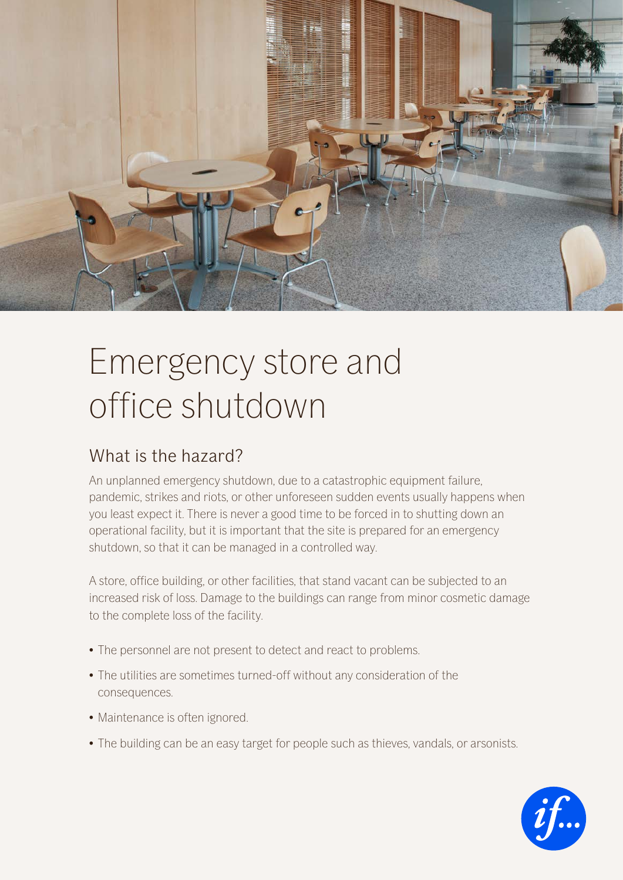

# Emergency store and office shutdown

#### What is the hazard?

An unplanned emergency shutdown, due to a catastrophic equipment failure, pandemic, strikes and riots, or other unforeseen sudden events usually happens when you least expect it. There is never a good time to be forced in to shutting down an operational facility, but it is important that the site is prepared for an emergency shutdown, so that it can be managed in a controlled way.

A store, office building, or other facilities, that stand vacant can be subjected to an increased risk of loss. Damage to the buildings can range from minor cosmetic damage to the complete loss of the facility.

- The personnel are not present to detect and react to problems.
- The utilities are sometimes turned-off without any consideration of the consequences.
- Maintenance is often ignored.
- The building can be an easy target for people such as thieves, vandals, or arsonists.

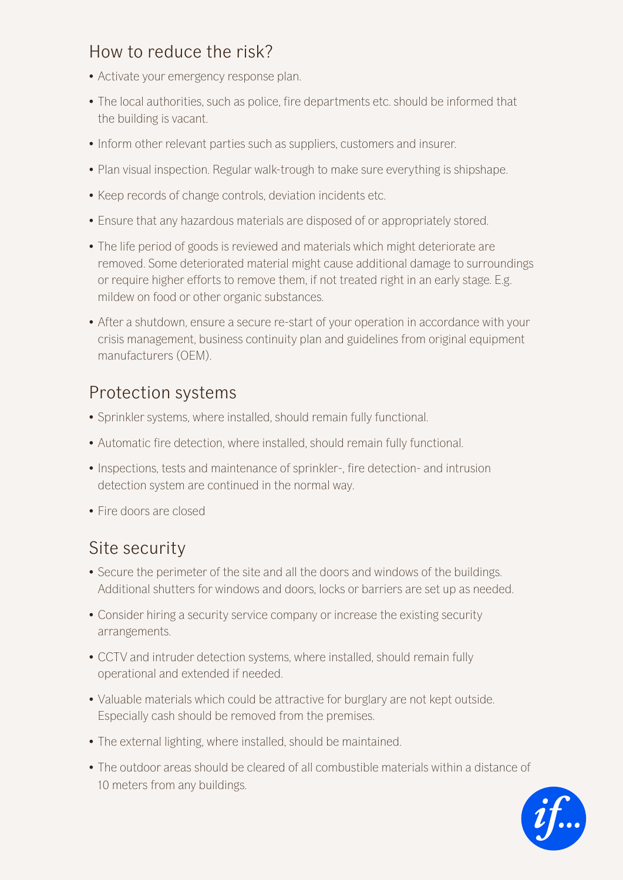# How to reduce the risk?

- Activate your emergency response plan.
- The local authorities, such as police, fire departments etc. should be informed that the building is vacant.
- Inform other relevant parties such as suppliers, customers and insurer.
- Plan visual inspection. Regular walk-trough to make sure everything is shipshape.
- Keep records of change controls, deviation incidents etc.
- Ensure that any hazardous materials are disposed of or appropriately stored.
- The life period of goods is reviewed and materials which might deteriorate are removed. Some deteriorated material might cause additional damage to surroundings or require higher efforts to remove them, if not treated right in an early stage. E.g. mildew on food or other organic substances.
- After a shutdown, ensure a secure re-start of your operation in accordance with your crisis management, business continuity plan and guidelines from original equipment manufacturers (OEM).

### Protection systems

- Sprinkler systems, where installed, should remain fully functional.
- Automatic fire detection, where installed, should remain fully functional.
- Inspections, tests and maintenance of sprinkler-, fire detection- and intrusion detection system are continued in the normal way.
- Fire doors are closed

# Site security

- Secure the perimeter of the site and all the doors and windows of the buildings. Additional shutters for windows and doors, locks or barriers are set up as needed.
- Consider hiring a security service company or increase the existing security arrangements.
- CCTV and intruder detection systems, where installed, should remain fully operational and extended if needed.
- Valuable materials which could be attractive for burglary are not kept outside. Especially cash should be removed from the premises.
- The external lighting, where installed, should be maintained.
- The outdoor areas should be cleared of all combustible materials within a distance of 10 meters from any buildings.